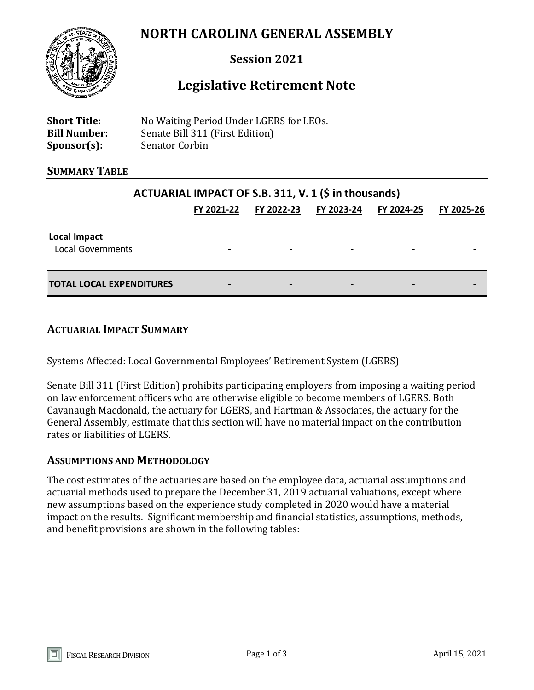# **NORTH CAROLINA GENERAL ASSEMBLY**



## **Session 2021**

## **Legislative Retirement Note**

| <b>Short Title:</b> | No Waiting Period Under LGERS for LEOs. |
|---------------------|-----------------------------------------|
| <b>Bill Number:</b> | Senate Bill 311 (First Edition)         |
| $Sponsor(s)$ :      | Senator Corbin                          |

#### **SUMMARY TABLE**

### **ACTUARIAL IMPACT OF S.B. 311, V. 1 (\$ in thousands)**

|                                          | FY 2021-22                   | FY 2022-23               | FY 2023-24               | FY 2024-25               | FY 2025-26 |
|------------------------------------------|------------------------------|--------------------------|--------------------------|--------------------------|------------|
| Local Impact<br><b>Local Governments</b> | $\overline{\phantom{0}}$     | $\overline{\phantom{a}}$ | $\overline{\phantom{0}}$ | $\overline{\phantom{a}}$ |            |
| <b>TOTAL LOCAL EXPENDITURES</b>          | $\qquad \qquad \blacksquare$ | $\qquad \qquad$          | -                        | $\qquad \qquad$          |            |

#### **ACTUARIAL IMPACT SUMMARY**

Systems Affected: Local Governmental Employees' Retirement System (LGERS)

Senate Bill 311 (First Edition) prohibits participating employers from imposing a waiting period on law enforcement officers who are otherwise eligible to become members of LGERS. Both Cavanaugh Macdonald, the actuary for LGERS, and Hartman & Associates, the actuary for the General Assembly, estimate that this section will have no material impact on the contribution rates or liabilities of LGERS.

#### **ASSUMPTIONS AND METHODOLOGY**

The cost estimates of the actuaries are based on the employee data, actuarial assumptions and actuarial methods used to prepare the December 31, 2019 actuarial valuations, except where new assumptions based on the experience study completed in 2020 would have a material impact on the results. Significant membership and financial statistics, assumptions, methods, and benefit provisions are shown in the following tables: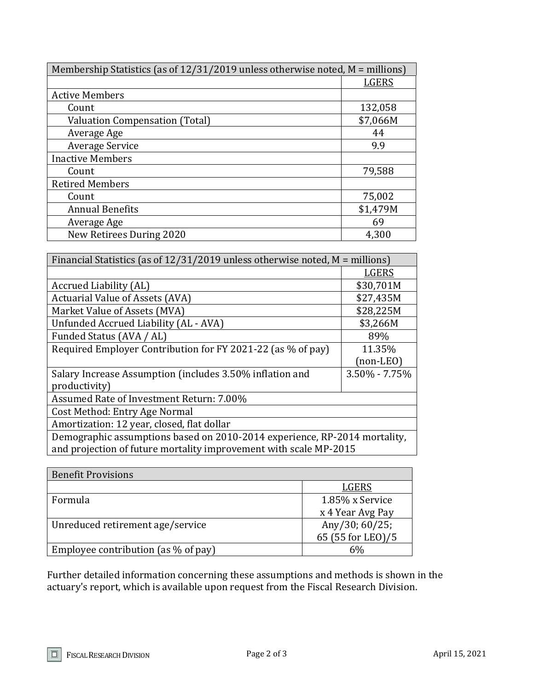| Membership Statistics (as of $12/31/2019$ unless otherwise noted, M = millions) |          |  |
|---------------------------------------------------------------------------------|----------|--|
|                                                                                 | LGERS    |  |
| <b>Active Members</b>                                                           |          |  |
| Count                                                                           | 132,058  |  |
| <b>Valuation Compensation (Total)</b>                                           | \$7,066M |  |
| Average Age                                                                     | 44       |  |
| <b>Average Service</b>                                                          | 9.9      |  |
| <b>Inactive Members</b>                                                         |          |  |
| Count                                                                           | 79,588   |  |
| <b>Retired Members</b>                                                          |          |  |
| Count                                                                           | 75,002   |  |
| <b>Annual Benefits</b>                                                          | \$1,479M |  |
| Average Age                                                                     | 69       |  |
| New Retirees During 2020                                                        | 4,300    |  |

| Financial Statistics (as of $12/31/2019$ unless otherwise noted, M = millions)                                                                 |               |  |
|------------------------------------------------------------------------------------------------------------------------------------------------|---------------|--|
|                                                                                                                                                | <b>LGERS</b>  |  |
| Accrued Liability (AL)                                                                                                                         | \$30,701M     |  |
| <b>Actuarial Value of Assets (AVA)</b>                                                                                                         | \$27,435M     |  |
| Market Value of Assets (MVA)                                                                                                                   | \$28,225M     |  |
| Unfunded Accrued Liability (AL - AVA)                                                                                                          | \$3,266M      |  |
| Funded Status (AVA / AL)                                                                                                                       | 89%           |  |
| Required Employer Contribution for FY 2021-22 (as % of pay)                                                                                    | 11.35%        |  |
|                                                                                                                                                | $non-LEO$     |  |
| Salary Increase Assumption (includes 3.50% inflation and                                                                                       | 3.50% - 7.75% |  |
| productivity)                                                                                                                                  |               |  |
| Assumed Rate of Investment Return: 7.00%                                                                                                       |               |  |
| Cost Method: Entry Age Normal                                                                                                                  |               |  |
| Amortization: 12 year, closed, flat dollar                                                                                                     |               |  |
| Demographic assumptions based on 2010-2014 experience, RP-2014 mortality,<br>and projection of future mortality improvement with scale MP-2015 |               |  |

| <b>Benefit Provisions</b>              |                   |
|----------------------------------------|-------------------|
|                                        | LGERS             |
| Formula                                | 1.85% x Service   |
|                                        | x 4 Year Avg Pay  |
| Unreduced retirement age/service       | Any/30; $60/25$ ; |
|                                        | 65 (55 for LEO)/5 |
| Employee contribution (as $\%$ of pay) | 6%                |

Further detailed information concerning these assumptions and methods is shown in the actuary's report, which is available upon request from the Fiscal Research Division.